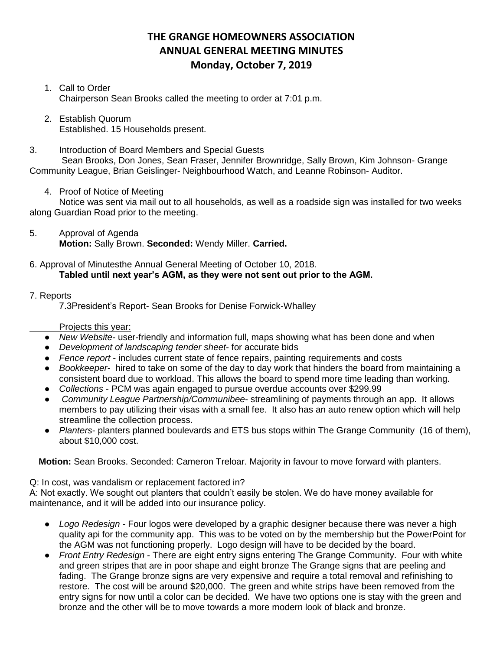# **THE GRANGE HOMEOWNERS ASSOCIATION ANNUAL GENERAL MEETING MINUTES Monday, October 7, 2019**

# 1. Call to Order Chairperson Sean Brooks called the meeting to order at 7:01 p.m.

2. Establish Quorum Established. 15 Households present.

3. Introduction of Board Members and Special Guests

Sean Brooks, Don Jones, Sean Fraser, Jennifer Brownridge, Sally Brown, Kim Johnson- Grange Community League, Brian Geislinger- Neighbourhood Watch, and Leanne Robinson- Auditor.

4. Proof of Notice of Meeting

Notice was sent via mail out to all households, as well as a roadside sign was installed for two weeks along Guardian Road prior to the meeting.

5. Approval of Agenda **Motion:** Sally Brown. **Seconded:** Wendy Miller. **Carried.**

### 6. Approval of Minutesthe Annual General Meeting of October 10, 2018. **Tabled until next year's AGM, as they were not sent out prior to the AGM.**

# 7. Reports

7.3President's Report- Sean Brooks for Denise Forwick-Whalley

## Projects this year:

- *New Website* user-friendly and information full, maps showing what has been done and when
- *Development of landscaping tender sheet* for accurate bids
- *Fence report* includes current state of fence repairs, painting requirements and costs
- *Bookkeeper* hired to take on some of the day to day work that hinders the board from maintaining a consistent board due to workload. This allows the board to spend more time leading than working.
- *Collections* PCM was again engaged to pursue overdue accounts over \$299.99
- *Community League Partnership/Communibee* streamlining of payments through an app. It allows members to pay utilizing their visas with a small fee. It also has an auto renew option which will help streamline the collection process.
- Planters- planters planned boulevards and ETS bus stops within The Grange Community (16 of them), about \$10,000 cost.

**Motion:** Sean Brooks. Seconded: Cameron Treloar. Majority in favour to move forward with planters.

Q: In cost, was vandalism or replacement factored in?

A: Not exactly. We sought out planters that couldn't easily be stolen. We do have money available for maintenance, and it will be added into our insurance policy.

- *Logo Redesign* Four logos were developed by a graphic designer because there was never a high quality api for the community app. This was to be voted on by the membership but the PowerPoint for the AGM was not functioning properly. Logo design will have to be decided by the board.
- *Front Entry Redesign*  There are eight entry signs entering The Grange Community. Four with white and green stripes that are in poor shape and eight bronze The Grange signs that are peeling and fading. The Grange bronze signs are very expensive and require a total removal and refinishing to restore. The cost will be around \$20,000. The green and white strips have been removed from the entry signs for now until a color can be decided. We have two options one is stay with the green and bronze and the other will be to move towards a more modern look of black and bronze.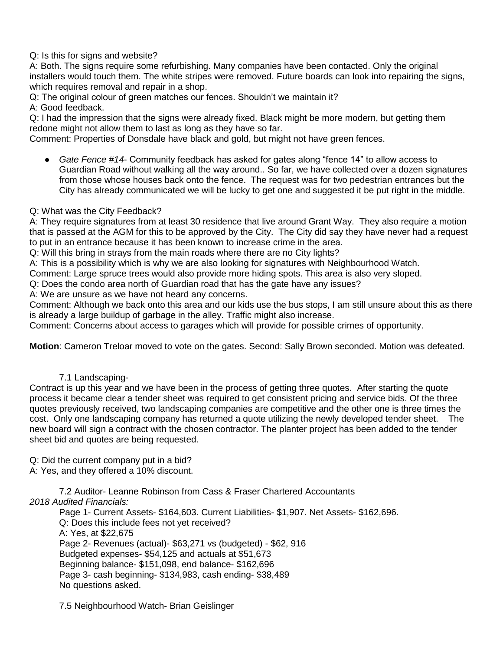Q: Is this for signs and website?

A: Both. The signs require some refurbishing. Many companies have been contacted. Only the original installers would touch them. The white stripes were removed. Future boards can look into repairing the signs, which requires removal and repair in a shop.

Q: The original colour of green matches our fences. Shouldn't we maintain it? A: Good feedback.

Q: I had the impression that the signs were already fixed. Black might be more modern, but getting them redone might not allow them to last as long as they have so far.

Comment: Properties of Donsdale have black and gold, but might not have green fences.

● *Gate Fence #14*- Community feedback has asked for gates along "fence 14" to allow access to Guardian Road without walking all the way around.. So far, we have collected over a dozen signatures from those whose houses back onto the fence. The request was for two pedestrian entrances but the City has already communicated we will be lucky to get one and suggested it be put right in the middle.

# Q: What was the City Feedback?

A: They require signatures from at least 30 residence that live around Grant Way. They also require a motion that is passed at the AGM for this to be approved by the City. The City did say they have never had a request to put in an entrance because it has been known to increase crime in the area.

Q: Will this bring in strays from the main roads where there are no City lights?

A: This is a possibility which is why we are also looking for signatures with Neighbourhood Watch.

Comment: Large spruce trees would also provide more hiding spots. This area is also very sloped.

Q: Does the condo area north of Guardian road that has the gate have any issues?

A: We are unsure as we have not heard any concerns.

Comment: Although we back onto this area and our kids use the bus stops, I am still unsure about this as there is already a large buildup of garbage in the alley. Traffic might also increase.

Comment: Concerns about access to garages which will provide for possible crimes of opportunity.

**Motion**: Cameron Treloar moved to vote on the gates. Second: Sally Brown seconded. Motion was defeated.

### 7.1 Landscaping-

Contract is up this year and we have been in the process of getting three quotes. After starting the quote process it became clear a tender sheet was required to get consistent pricing and service bids. Of the three quotes previously received, two landscaping companies are competitive and the other one is three times the cost. Only one landscaping company has returned a quote utilizing the newly developed tender sheet. The new board will sign a contract with the chosen contractor. The planter project has been added to the tender sheet bid and quotes are being requested.

Q: Did the current company put in a bid?

A: Yes, and they offered a 10% discount.

7.2 Auditor- Leanne Robinson from Cass & Fraser Chartered Accountants *2018 Audited Financials:*

Page 1- Current Assets- \$164,603. Current Liabilities- \$1,907. Net Assets- \$162,696. Q: Does this include fees not yet received? A: Yes, at \$22,675 Page 2- Revenues (actual)- \$63,271 vs (budgeted) - \$62, 916 Budgeted expenses- \$54,125 and actuals at \$51,673 Beginning balance- \$151,098, end balance- \$162,696 Page 3- cash beginning- \$134,983, cash ending- \$38,489 No questions asked.

7.5 Neighbourhood Watch- Brian Geislinger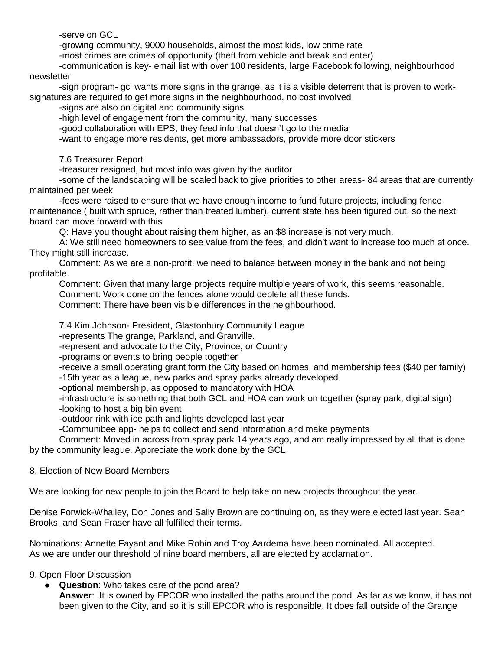-serve on GCL

-growing community, 9000 households, almost the most kids, low crime rate

-most crimes are crimes of opportunity (theft from vehicle and break and enter)

-communication is key- email list with over 100 residents, large Facebook following, neighbourhood newsletter

-sign program- gcl wants more signs in the grange, as it is a visible deterrent that is proven to worksignatures are required to get more signs in the neighbourhood, no cost involved

-signs are also on digital and community signs

-high level of engagement from the community, many successes

-good collaboration with EPS, they feed info that doesn't go to the media

-want to engage more residents, get more ambassadors, provide more door stickers

7.6 Treasurer Report

-treasurer resigned, but most info was given by the auditor

-some of the landscaping will be scaled back to give priorities to other areas- 84 areas that are currently maintained per week

-fees were raised to ensure that we have enough income to fund future projects, including fence maintenance ( built with spruce, rather than treated lumber), current state has been figured out, so the next board can move forward with this

Q: Have you thought about raising them higher, as an \$8 increase is not very much.

A: We still need homeowners to see value from the fees, and didn't want to increase too much at once. They might still increase.

Comment: As we are a non-profit, we need to balance between money in the bank and not being profitable.

Comment: Given that many large projects require multiple years of work, this seems reasonable. Comment: Work done on the fences alone would deplete all these funds.

Comment: There have been visible differences in the neighbourhood.

7.4 Kim Johnson- President, Glastonbury Community League

-represents The grange, Parkland, and Granville.

-represent and advocate to the City, Province, or Country

-programs or events to bring people together

-receive a small operating grant form the City based on homes, and membership fees (\$40 per family) -15th year as a league, new parks and spray parks already developed

-optional membership, as opposed to mandatory with HOA

-infrastructure is something that both GCL and HOA can work on together (spray park, digital sign) -looking to host a big bin event

-outdoor rink with ice path and lights developed last year

-Communibee app- helps to collect and send information and make payments

Comment: Moved in across from spray park 14 years ago, and am really impressed by all that is done by the community league. Appreciate the work done by the GCL.

### 8. Election of New Board Members

We are looking for new people to join the Board to help take on new projects throughout the year.

Denise Forwick-Whalley, Don Jones and Sally Brown are continuing on, as they were elected last year. Sean Brooks, and Sean Fraser have all fulfilled their terms.

Nominations: Annette Fayant and Mike Robin and Troy Aardema have been nominated. All accepted. As we are under our threshold of nine board members, all are elected by acclamation.

### 9. Open Floor Discussion

● **Question**: Who takes care of the pond area? **Answer**: It is owned by EPCOR who installed the paths around the pond. As far as we know, it has not been given to the City, and so it is still EPCOR who is responsible. It does fall outside of the Grange